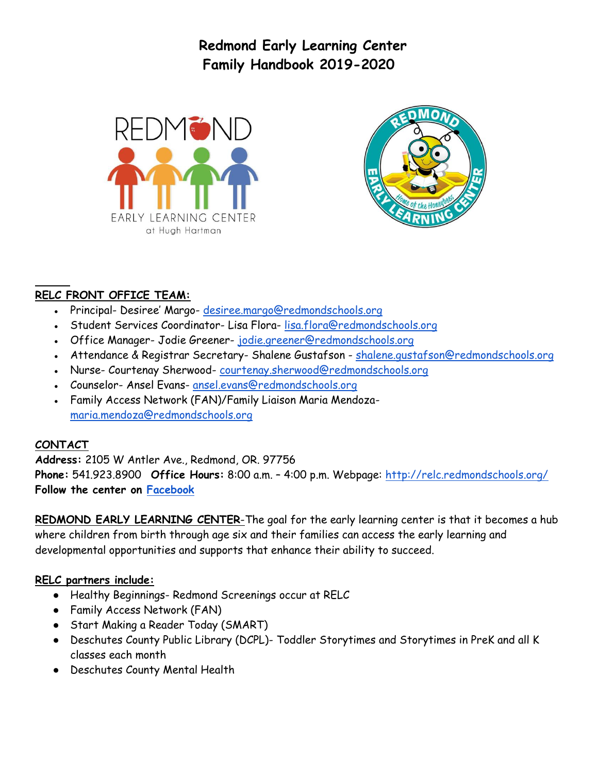**Redmond Early Learning Center Family Handbook 2019-2020**





# **RELC FRONT OFFICE TEAM:**

- Principal- Desiree' Margo- [desiree.margo@redmondschools.org](mailto:desiree.margo@redmondschools.org)
- Student Services Coordinator-Lisa Flora-[lisa.flora@redmondschools.org](mailto:lisa.flora@redmondschools.org)
- Office Manager- Jodie Greener- [jodie.greener@redmondschools.org](mailto:jodie.greener@redmondschools.org)
- Attendance & Registrar Secretary- Shalene Gustafson shalene.gustafson@redmondschools.org
- Nurse- Courtenay Sherwood- [courtenay.sherwood@redmondschools.org](mailto:courtenay.sherwood@redmondschools.org)
- Counselor- Ansel Evans- [ansel.evans@redmondschools.org](mailto:ansel.evans@redmondschools.org)
- Family Access Network (FAN)/Family Liaison Maria Mendoza[maria.mendoza@redmondschools.org](mailto:Advocate-maria.mendoza@redmondschools.org)

#### **CONTACT**

**Address:** 2105 W Antler Ave., Redmond, OR. 97756 **Phone:** 541.923.8900 **Office Hours:** 8:00 a.m. – 4:00 p.m. Webpage:<http://relc.redmondschools.org/> **Follow the center on [Facebook](https://www.facebook.com/redmondELC/?ref=aymt_homepage_panel)**

**REDMOND EARLY LEARNING CENTER**-The goal for the early learning center is that it becomes a hub where children from birth through age six and their families can access the early learning and developmental opportunities and supports that enhance their ability to succeed.

#### **RELC partners include:**

- Healthy Beginnings- Redmond Screenings occur at RELC
- Family Access Network (FAN)
- Start Making a Reader Today (SMART)
- Deschutes County Public Library (DCPL)- Toddler Storytimes and Storytimes in PreK and all K classes each month
- Deschutes County Mental Health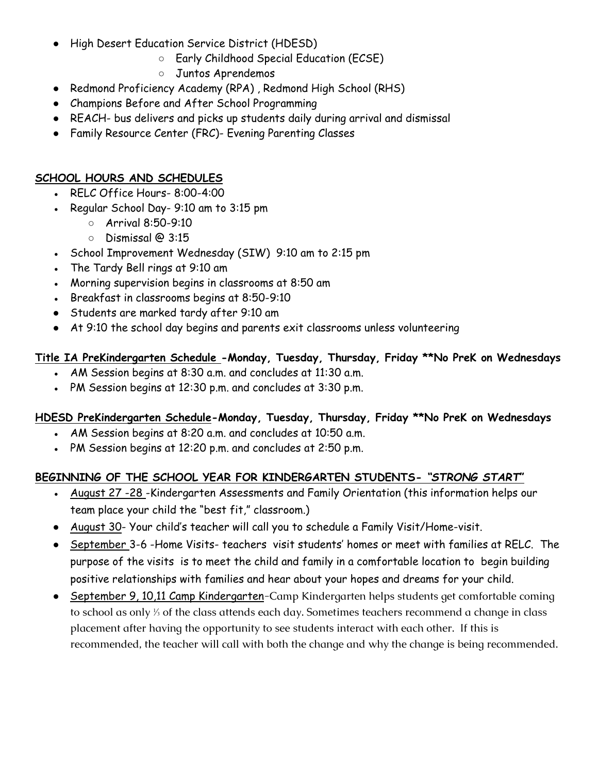- High Desert Education Service District (HDESD)
	- Early Childhood Special Education (ECSE)
	- Juntos Aprendemos
- Redmond Proficiency Academy (RPA) , Redmond High School (RHS)
- Champions Before and After School Programming
- REACH- bus delivers and picks up students daily during arrival and dismissal
- Family Resource Center (FRC)- Evening Parenting Classes

#### **SCHOOL HOURS AND SCHEDULES**

- RELC Office Hours- $8:00-4:00$
- Regular School Day-  $9:10$  am to  $3:15$  pm
	- Arrival 8:50-9:10
	- Dismissal @ 3:15
- School Improvement Wednesday (SIW) 9:10 am to 2:15 pm
- The Tardy Bell rings at 9:10 am
- Morning supervision begins in classrooms at 8:50 am
- Breakfast in classrooms begins at 8:50-9:10
- Students are marked tardy after 9:10 am
- At 9:10 the school day begins and parents exit classrooms unless volunteering

#### **Title IA PreKindergarten Schedule -Monday, Tuesday, Thursday, Friday \*\*No PreK on Wednesdays**

- AM Session begins at  $8:30$  a.m. and concludes at 11:30 a.m.
- PM Session begins at 12:30 p.m. and concludes at  $3:30$  p.m.

#### **HDESD PreKindergarten Schedule-Monday, Tuesday, Thursday, Friday \*\*No PreK on Wednesdays**

- AM Session begins at 8:20 a.m. and concludes at  $10:50$  a.m.
- PM Session begins at 12:20 p.m. and concludes at 2:50 p.m.

#### **BEGINNING OF THE SCHOOL YEAR FOR KINDERGARTEN STUDENTS-** *"STRONG START***"**

- August 27 -28 -Kindergarten Assessments and Family Orientation (this information helps our team place your child the "best fit," classroom.)
- August 30- Your child's teacher will call you to schedule a Family Visit/Home-visit.
- September 3-6 -Home Visits- teachers visit students' homes or meet with families at RELC. The purpose of the visits is to meet the child and family in a comfortable location to begin building positive relationships with families and hear about your hopes and dreams for your child.
- September 9, 10,11 Camp Kindergarten-Camp Kindergarten helps students get comfortable coming to school as only ⅓ of the class attends each day. Sometimes teachers recommend a change in class placement after having the opportunity to see students interact with each other. If this is recommended, the teacher will call with both the change and why the change is being recommended.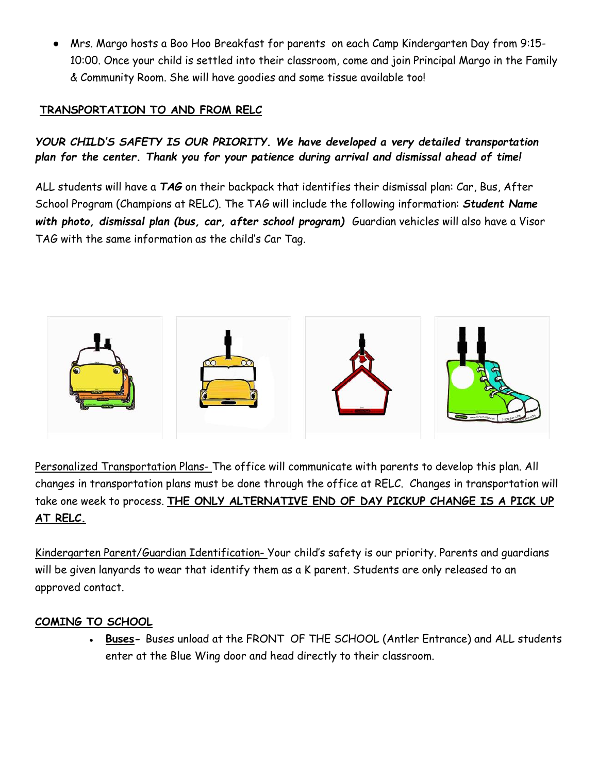● Mrs. Margo hosts a Boo Hoo Breakfast for parents on each Camp Kindergarten Day from 9:15- 10:00. Once your child is settled into their classroom, come and join Principal Margo in the Family & Community Room. She will have goodies and some tissue available too!

## **TRANSPORTATION TO AND FROM RELC**

*YOUR CHILD'S SAFETY IS OUR PRIORITY. We have developed a very detailed transportation plan for the center. Thank you for your patience during arrival and dismissal ahead of time!* 

ALL students will have a *TAG* on their backpack that identifies their dismissal plan: Car, Bus, After School Program (Champions at RELC). The TAG will include the following information: *Student Name with photo, dismissal plan (bus, car, after school program)* Guardian vehicles will also have a Visor TAG with the same information as the child's Car Tag.



Personalized Transportation Plans- The office will communicate with parents to develop this plan. All changes in transportation plans must be done through the office at RELC. Changes in transportation will take one week to process. **THE ONLY ALTERNATIVE END OF DAY PICKUP CHANGE IS A PICK UP AT RELC.**

Kindergarten Parent/Guardian Identification- Your child's safety is our priority. Parents and guardians will be given lanyards to wear that identify them as a K parent. Students are only released to an approved contact.

#### **COMING TO SCHOOL**

• Buses- Buses unload at the FRONT OF THE SCHOOL (Antler Entrance) and ALL students enter at the Blue Wing door and head directly to their classroom.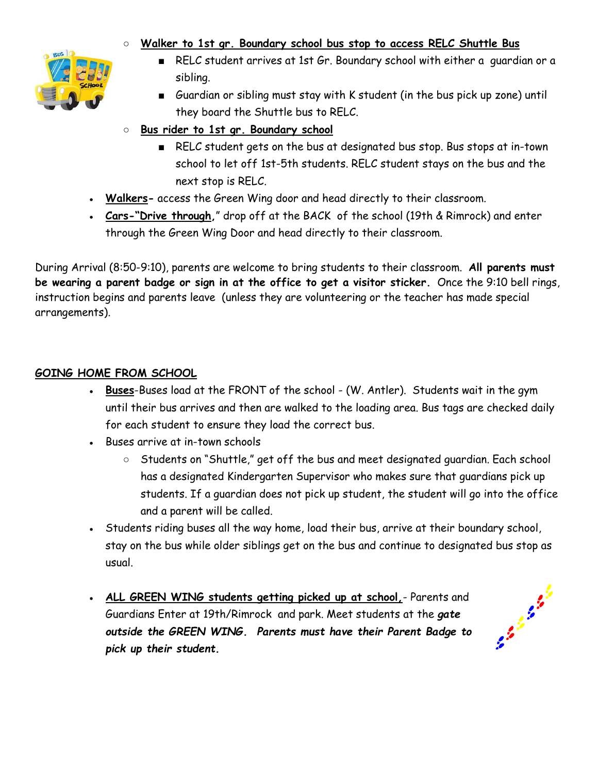## ○ **Walker to 1st gr. Boundary school bus stop to access RELC Shuttle Bus**



- RELC student arrives at 1st Gr. Boundary school with either a guardian or a sibling.
- Guardian or sibling must stay with K student (in the bus pick up zone) until they board the Shuttle bus to RELC.
- **Bus rider to 1st gr. Boundary school**
	- RELC student gets on the bus at designated bus stop. Bus stops at in-town school to let off 1st-5th students. RELC student stays on the bus and the next stop is RELC.
- Walkers- access the Green Wing door and head directly to their classroom.
- **Cars-"Drive through,**" drop off at the BACK of the school (19th & Rimrock) and enter through the Green Wing Door and head directly to their classroom.

During Arrival (8:50-9:10), parents are welcome to bring students to their classroom. **All parents must be wearing a parent badge or sign in at the office to get a visitor sticker.** Once the 9:10 bell rings, instruction begins and parents leave (unless they are volunteering or the teacher has made special arrangements).

## **GOING HOME FROM SCHOOL**

- Buses-Buses load at the FRONT of the school (W. Antler). Students wait in the gym until their bus arrives and then are walked to the loading area. Bus tags are checked daily for each student to ensure they load the correct bus.
- Buses arrive at in-town schools
	- Students on "Shuttle," get off the bus and meet designated guardian. Each school has a designated Kindergarten Supervisor who makes sure that guardians pick up students. If a guardian does not pick up student, the student will go into the office and a parent will be called.
- Students riding buses all the way home, load their bus, arrive at their boundary school, stay on the bus while older siblings get on the bus and continue to designated bus stop as usual.
- **ALL GREEN WING students getting picked up at school, Parents and** Guardians Enter at 19th/Rimrock and park. Meet students at the *gate outside the GREEN WING. Parents must have their Parent Badge to pick up their student.*

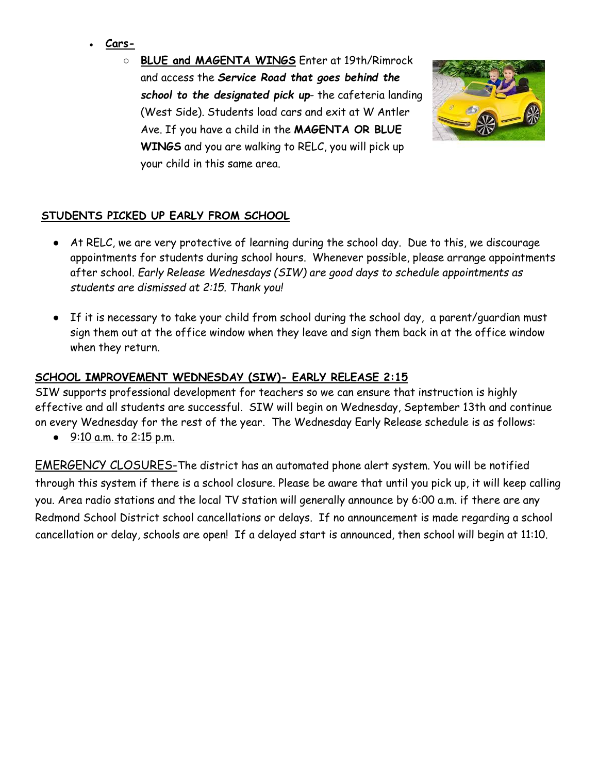- **Cars-**
	- **BLUE and MAGENTA WINGS** Enter at 19th/Rimrock and access the *Service Road that goes behind the school to the designated pick up*- the cafeteria landing (West Side). Students load cars and exit at W Antler Ave. If you have a child in the **MAGENTA OR BLUE WINGS** and you are walking to RELC, you will pick up your child in this same area.



# **STUDENTS PICKED UP EARLY FROM SCHOOL**

- At RELC, we are very protective of learning during the school day. Due to this, we discourage appointments for students during school hours. Whenever possible, please arrange appointments after school. *Early Release Wednesdays (SIW) are good days to schedule appointments as students are dismissed at 2:15. Thank you!*
- If it is necessary to take your child from school during the school day, a parent/guardian must sign them out at the office window when they leave and sign them back in at the office window when they return.

## **SCHOOL IMPROVEMENT WEDNESDAY (SIW)- EARLY RELEASE 2:15**

SIW supports professional development for teachers so we can ensure that instruction is highly effective and all students are successful. SIW will begin on Wednesday, September 13th and continue on every Wednesday for the rest of the year. The Wednesday Early Release schedule is as follows:

● 9:10 a.m. to 2:15 p.m.

EMERGENCY CLOSURES-The district has an automated phone alert system. You will be notified through this system if there is a school closure. Please be aware that until you pick up, it will keep calling you. Area radio stations and the local TV station will generally announce by 6:00 a.m. if there are any Redmond School District school cancellations or delays. If no announcement is made regarding a school cancellation or delay, schools are open! If a delayed start is announced, then school will begin at 11:10.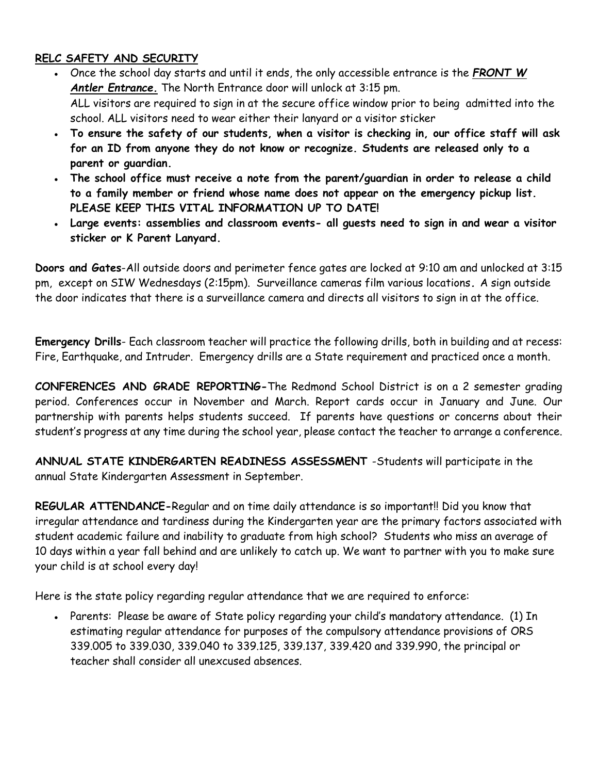#### **RELC SAFETY AND SECURITY**

- Once the school day starts and until it ends, the only accessible entrance is the *FRONT W Antler Entrance.* The North Entrance door will unlock at 3:15 pm. ALL visitors are required to sign in at the secure office window prior to being admitted into the school. ALL visitors need to wear either their lanyard or a visitor sticker
- **To ensure the safety of our students, when a visitor is checking in, our office staff will ask for an ID from anyone they do not know or recognize. Students are released only to a parent or guardian.**
- **The school office must receive a note from the parent/guardian in order to release a child to a family member or friend whose name does not appear on the emergency pickup list. PLEASE KEEP THIS VITAL INFORMATION UP TO DATE!**
- **Large events: assemblies and classroom events- all guests need to sign in and wear a visitor sticker or K Parent Lanyard.**

**Doors and Gates**-All outside doors and perimeter fence gates are locked at 9:10 am and unlocked at 3:15 pm, except on SIW Wednesdays (2:15pm). Surveillance cameras film various locations*.* A sign outside the door indicates that there is a surveillance camera and directs all visitors to sign in at the office.

**Emergency Drills**- Each classroom teacher will practice the following drills, both in building and at recess: Fire, Earthquake, and Intruder. Emergency drills are a State requirement and practiced once a month.

**CONFERENCES AND GRADE REPORTING-**The Redmond School District is on a 2 semester grading period. Conferences occur in November and March. Report cards occur in January and June. Our partnership with parents helps students succeed. If parents have questions or concerns about their student's progress at any time during the school year, please contact the teacher to arrange a conference.

**ANNUAL STATE KINDERGARTEN READINESS ASSESSMENT** -Students will participate in the annual State Kindergarten Assessment in September.

**REGULAR ATTENDANCE-**Regular and on time daily attendance is so important!! Did you know that irregular attendance and tardiness during the Kindergarten year are the primary factors associated with student academic failure and inability to graduate from high school? Students who miss an average of 10 days within a year fall behind and are unlikely to catch up. We want to partner with you to make sure your child is at school every day!

Here is the state policy regarding regular attendance that we are required to enforce:

• Parents: Please be aware of State policy regarding your child's mandatory attendance. (1) In estimating regular attendance for purposes of the compulsory attendance provisions of ORS 339.005 to 339.030, 339.040 to 339.125, 339.137, 339.420 and 339.990, the principal or teacher shall consider all unexcused absences.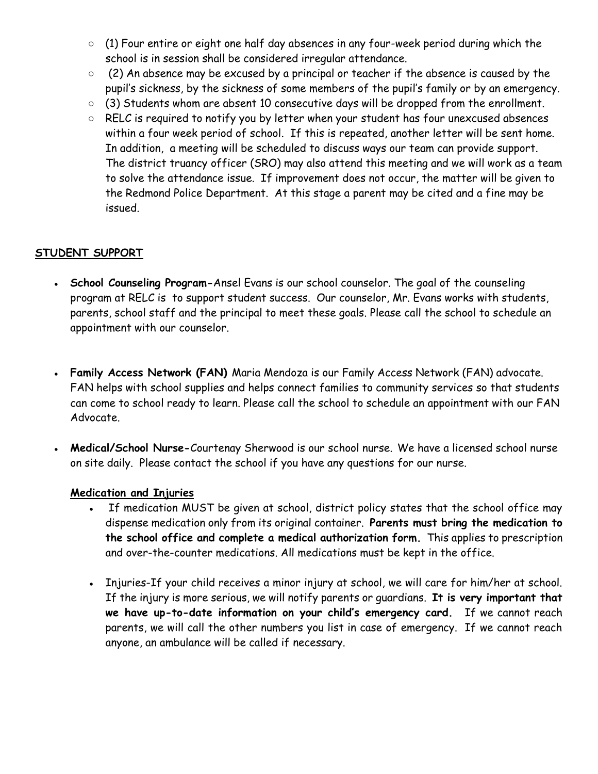- $\circ$  (1) Four entire or eight one half day absences in any four-week period during which the school is in session shall be considered irregular attendance.
- (2) An absence may be excused by a principal or teacher if the absence is caused by the pupil's sickness, by the sickness of some members of the pupil's family or by an emergency.
- (3) Students whom are absent 10 consecutive days will be dropped from the enrollment.
- RELC is required to notify you by letter when your student has four unexcused absences within a four week period of school. If this is repeated, another letter will be sent home. In addition, a meeting will be scheduled to discuss ways our team can provide support. The district truancy officer (SRO) may also attend this meeting and we will work as a team to solve the attendance issue. If improvement does not occur, the matter will be given to the Redmond Police Department. At this stage a parent may be cited and a fine may be issued.

#### **STUDENT SUPPORT**

- **School Counseling Program-**Ansel Evans is our school counselor. The goal of the counseling program at RELC is to support student success. Our counselor, Mr. Evans works with students, parents, school staff and the principal to meet these goals. Please call the school to schedule an appointment with our counselor.
- **Family Access Network (FAN)** Maria Mendoza is our Family Access Network (FAN) advocate. FAN helps with school supplies and helps connect families to community services so that students can come to school ready to learn. Please call the school to schedule an appointment with our FAN Advocate.
- Medical/School Nurse-Courtenay Sherwood is our school nurse. We have a licensed school nurse on site daily. Please contact the school if you have any questions for our nurse.

#### **Medication and Injuries**

- If medication MUST be given at school, district policy states that the school office may dispense medication only from its original container. **Parents must bring the medication to the school office and complete a medical authorization form.** This applies to prescription and over-the-counter medications. All medications must be kept in the office.
- Injuries-If your child receives a minor injury at school, we will care for him/her at school. If the injury is more serious, we will notify parents or guardians. **It is very important that we have up-to-date information on your child's emergency card.** If we cannot reach parents, we will call the other numbers you list in case of emergency. If we cannot reach anyone, an ambulance will be called if necessary.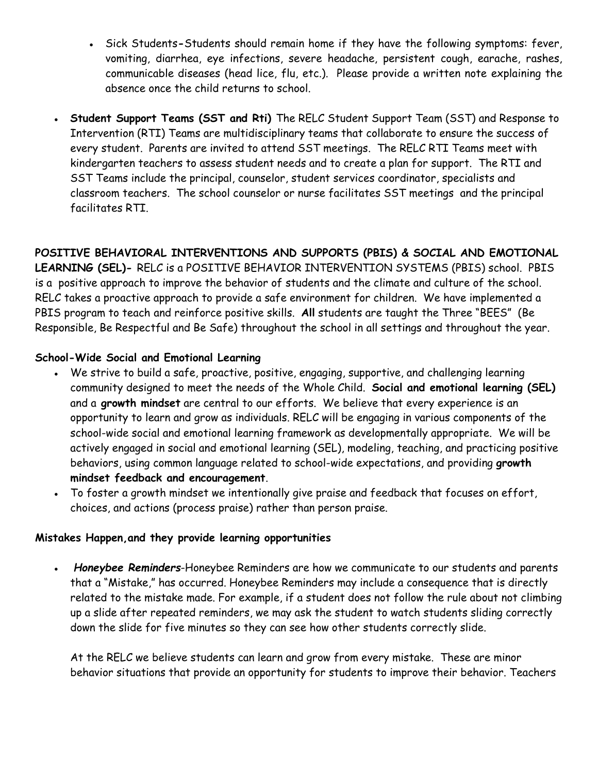- Sick Students**-**Students should remain home if they have the following symptoms: fever, vomiting, diarrhea, eye infections, severe headache, persistent cough, earache, rashes, communicable diseases (head lice, flu, etc.). Please provide a written note explaining the absence once the child returns to school.
- **Student Support Teams (SST and Rti)** The RELC Student Support Team (SST) and Response to Intervention (RTI) Teams are multidisciplinary teams that collaborate to ensure the success of every student. Parents are invited to attend SST meetings. The RELC RTI Teams meet with kindergarten teachers to assess student needs and to create a plan for support. The RTI and SST Teams include the principal, counselor, student services coordinator, specialists and classroom teachers. The school counselor or nurse facilitates SST meetings and the principal facilitates RTI.

**POSITIVE BEHAVIORAL INTERVENTIONS AND SUPPORTS (PBIS) & SOCIAL AND EMOTIONAL LEARNING (SEL)-** RELC is a POSITIVE BEHAVIOR INTERVENTION SYSTEMS (PBIS) school. PBIS is a positive approach to improve the behavior of students and the climate and culture of the school. RELC takes a proactive approach to provide a safe environment for children. We have implemented a PBIS program to teach and reinforce positive skills. **All** students are taught the Three "BEES" (Be

Responsible, Be Respectful and Be Safe) throughout the school in all settings and throughout the year.

#### **School-Wide Social and Emotional Learning**

- We strive to build a safe, proactive, positive, engaging, supportive, and challenging learning community designed to meet the needs of the Whole Child. **Social and emotional learning (SEL)**  and a **growth mindset** are central to our efforts. We believe that every experience is an opportunity to learn and grow as individuals. RELC will be engaging in various components of the school-wide social and emotional learning framework as developmentally appropriate. We will be actively engaged in social and emotional learning (SEL), modeling, teaching, and practicing positive behaviors, using common language related to school-wide expectations, and providing **growth mindset feedback and encouragement**.
- To foster a growth mindset we intentionally give praise and feedback that focuses on effort, choices, and actions (process praise) rather than person praise.

#### **Mistakes Happen,and they provide learning opportunities**

• **Honeybee Reminders-Honeybee Reminders are how we communicate to our students and parents** that a "Mistake," has occurred. Honeybee Reminders may include a consequence that is directly related to the mistake made. For example, if a student does not follow the rule about not climbing up a slide after repeated reminders, we may ask the student to watch students sliding correctly down the slide for five minutes so they can see how other students correctly slide.

At the RELC we believe students can learn and grow from every mistake. These are minor behavior situations that provide an opportunity for students to improve their behavior. Teachers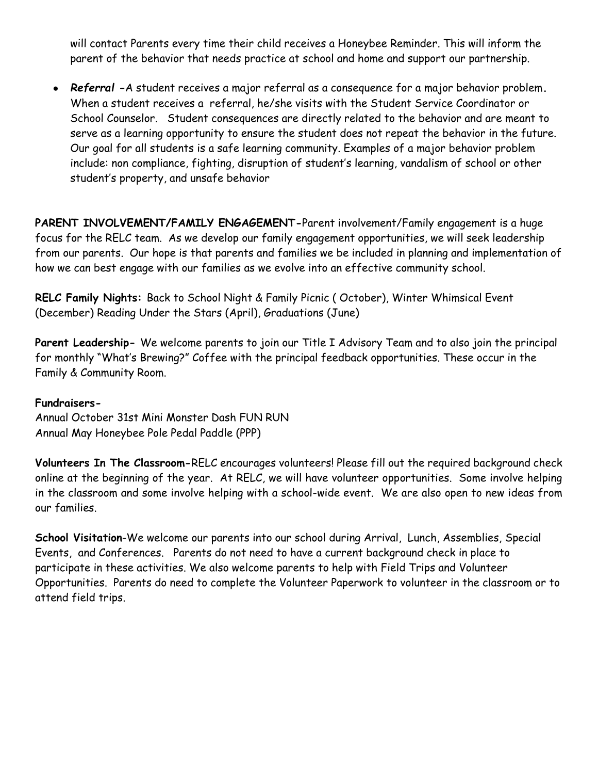will contact Parents every time their child receives a Honeybee Reminder. This will inform the parent of the behavior that needs practice at school and home and support our partnership.

● *Referral -*A student receives a major referral as a consequence for a major behavior problem**.**  When a student receives a referral, he/she visits with the Student Service Coordinator or School Counselor. Student consequences are directly related to the behavior and are meant to serve as a learning opportunity to ensure the student does not repeat the behavior in the future. Our goal for all students is a safe learning community. Examples of a major behavior problem include: non compliance, fighting, disruption of student's learning, vandalism of school or other student's property, and unsafe behavior

PARENT INVOLVEMENT/FAMILY ENGAGEMENT-Parent involvement/Family engagement is a huge focus for the RELC team. As we develop our family engagement opportunities, we will seek leadership from our parents. Our hope is that parents and families we be included in planning and implementation of how we can best engage with our families as we evolve into an effective community school.

**RELC Family Nights:** Back to School Night & Family Picnic ( October), Winter Whimsical Event (December) Reading Under the Stars (April), Graduations (June)

**Parent Leadership-** We welcome parents to join our Title I Advisory Team and to also join the principal for monthly "What's Brewing?" Coffee with the principal feedback opportunities. These occur in the Family & Community Room.

#### **Fundraisers-**

Annual October 31st Mini Monster Dash FUN RUN Annual May Honeybee Pole Pedal Paddle (PPP)

**Volunteers In The Classroom-**RELC encourages volunteers! Please fill out the required background check online at the beginning of the year. At RELC, we will have volunteer opportunities. Some involve helping in the classroom and some involve helping with a school-wide event. We are also open to new ideas from our families.

**School Visitation**-We welcome our parents into our school during Arrival, Lunch, Assemblies, Special Events, and Conferences. Parents do not need to have a current background check in place to participate in these activities. We also welcome parents to help with Field Trips and Volunteer Opportunities. Parents do need to complete the Volunteer Paperwork to volunteer in the classroom or to attend field trips.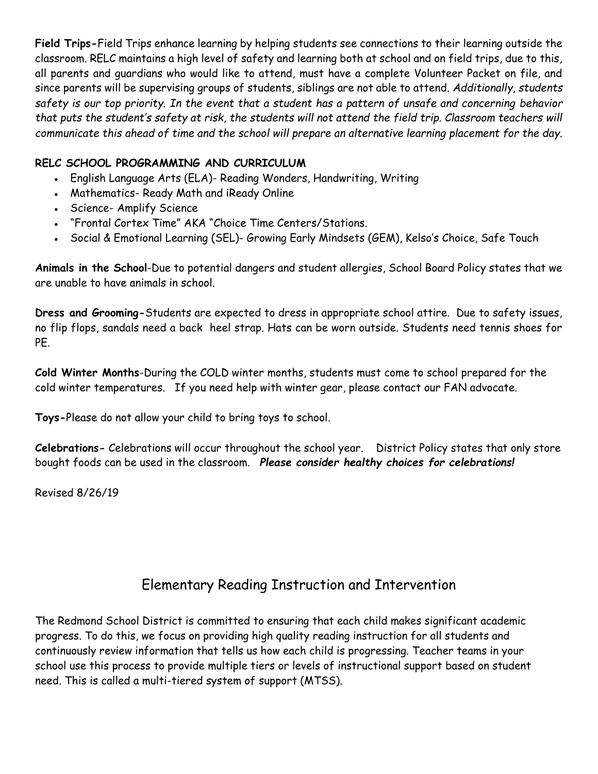**Field Trips-**Field Trips enhance learning by helping students see connections to their learning outside the classroom. RELC maintains a high level of safety and learning both at school and on field trips, due to this, all parents and guardians who would like to attend, must have a complete Volunteer Packet on file, and since parents will be supervising groups of students, siblings are not able to attend. *Additionally, students safety is our top priority. In the event that a student has a pattern of unsafe and concerning behavior that puts the student's safety at risk, the students will not attend the field trip. Classroom teachers will communicate this ahead of time and the school will prepare an alternative learning placement for the day.*

## **RELC SCHOOL PROGRAMMING AND CURRICULUM**

- English Language Arts (ELA)- Reading Wonders, Handwriting, Writing
- Mathematics- Ready Math and iReady Online
- Science- Amplify Science
- "Frontal Cortex Time" AKA "Choice Time Centers/Stations.
- Social & Emotional Learning (SEL)- Growing Early Mindsets (GEM), Kelso's Choice, Safe Touch

**Animals in the School**-Due to potential dangers and student allergies, School Board Policy states that we are unable to have animals in school.

**Dress and Grooming-**Students are expected to dress in appropriate school attire. Due to safety issues, no flip flops, sandals need a back heel strap. Hats can be worn outside. Students need tennis shoes for PE.

**Cold Winter Months**-During the COLD winter months, students must come to school prepared for the cold winter temperatures. If you need help with winter gear, please contact our FAN advocate.

**Toys-**Please do not allow your child to bring toys to school.

**Celebrations-** Celebrations will occur throughout the school year. District Policy states that only store bought foods can be used in the classroom. *Please consider healthy choices for celebrations!*

Revised 8/26/19

# Elementary Reading Instruction and Intervention

The Redmond School District is committed to ensuring that each child makes significant academic progress. To do this, we focus on providing high quality reading instruction for all students and continuously review information that tells us how each child is progressing. Teacher teams in your school use this process to provide multiple tiers or levels of instructional support based on student need. This is called a multi-tiered system of support (MTSS).